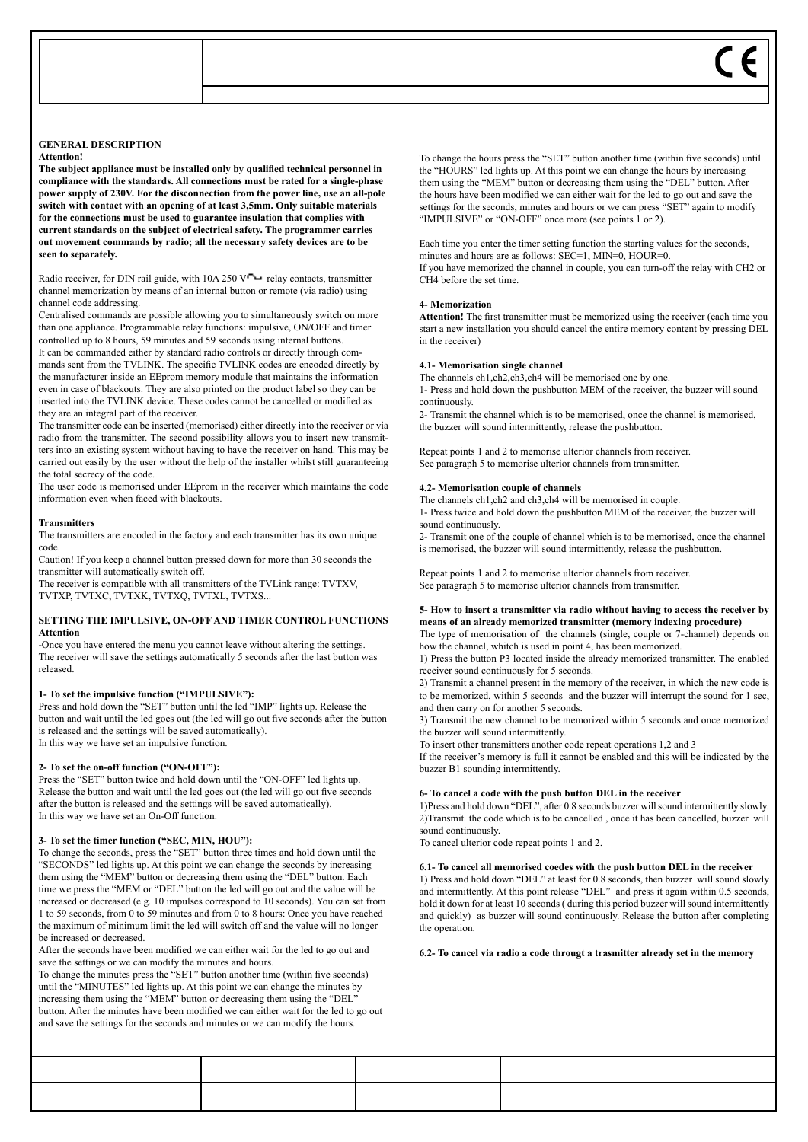#### **GENERAL DESCRIPTION Attention!**

**The subject appliance must be installed only by qualified technical personnel in compliance with the standards. All connections must be rated for a single-phase power supply of 230V. For the disconnection from the power line, use an all-pole switch with contact with an opening of at least 3,5mm. Only suitable materials for the connections must be used to guarantee insulation that complies with current standards on the subject of electrical safety. The programmer carries out movement commands by radio; all the necessary safety devices are to be seen to separately.**

Radio receiver, for DIN rail guide, with  $10A 250$  V  $\rightarrow$  relay contacts, transmitter channel memorization by means of an internal button or remote (via radio) using channel code addressing.

Centralised commands are possible allowing you to simultaneously switch on more than one appliance. Programmable relay functions: impulsive, ON/OFF and timer controlled up to 8 hours, 59 minutes and 59 seconds using internal buttons. It can be commanded either by standard radio controls or directly through commands sent from the TVLINK. The specific TVLINK codes are encoded directly by the manufacturer inside an EEprom memory module that maintains the information even in case of blackouts. They are also printed on the product label so they can be inserted into the TVLINK device. These codes cannot be cancelled or modified as they are an integral part of the receiver.

The transmitter code can be inserted (memorised) either directly into the receiver or via radio from the transmitter. The second possibility allows you to insert new transmitters into an existing system without having to have the receiver on hand. This may be carried out easily by the user without the help of the installer whilst still guaranteeing the total secrecy of the code.

The user code is memorised under EEprom in the receiver which maintains the code information even when faced with blackouts.

# **Transmitters**

The transmitters are encoded in the factory and each transmitter has its own unique code.

Caution! If you keep a channel button pressed down for more than 30 seconds the transmitter will automatically switch off.

The receiver is compatible with all transmitters of the TVLink range: TVTXV, TVTXP, TVTXC, TVTXK, TVTXQ, TVTXL, TVTXS...

## **SETTING THE IMPULSIVE, ON-OFF AND TIMER CONTROL FUNCTIONS Attention**

-Once you have entered the menu you cannot leave without altering the settings. The receiver will save the settings automatically 5 seconds after the last button was released.

# **1- To set the impulsive function ("IMPULSIVE"):**

Press and hold down the "SET" button until the led "IMP" lights up. Release the button and wait until the led goes out (the led will go out five seconds after the button is released and the settings will be saved automatically). In this way we have set an impulsive function.

#### **2- To set the on-off function ("ON-OFF"):**

Press the "SET" button twice and hold down until the "ON-OFF" led lights up. Release the button and wait until the led goes out (the led will go out five seconds after the button is released and the settings will be saved automatically). In this way we have set an On-Off function.

# **3- To set the timer function ("SEC, MIN, HOU"):**

To change the seconds, press the "SET" button three times and hold down until the "SECONDS" led lights up. At this point we can change the seconds by increasing them using the "MEM" button or decreasing them using the "DEL" button. Each time we press the "MEM or "DEL" button the led will go out and the value will be increased or decreased (e.g. 10 impulses correspond to 10 seconds). You can set from 1 to 59 seconds, from 0 to 59 minutes and from 0 to 8 hours: Once you have reached the maximum of minimum limit the led will switch off and the value will no longer be increased or decreased.

After the seconds have been modified we can either wait for the led to go out and save the settings or we can modify the minutes and hours.

To change the minutes press the "SET" button another time (within five seconds) until the "MINUTES" led lights up. At this point we can change the minutes by increasing them using the "MEM" button or decreasing them using the "DEL" button. After the minutes have been modified we can either wait for the led to go out and save the settings for the seconds and minutes or we can modify the hours.

To change the hours press the "SET" button another time (within five seconds) until the "HOURS" led lights up. At this point we can change the hours by increasing them using the "MEM" button or decreasing them using the "DEL" button. After the hours have been modified we can either wait for the led to go out and save the settings for the seconds, minutes and hours or we can press "SET" again to modify "IMPULSIVE" or "ON-OFF" once more (see points 1 or 2).

Each time you enter the timer setting function the starting values for the seconds, minutes and hours are as follows: SEC=1, MIN=0, HOUR=0. If you have memorized the channel in couple, you can turn-off the relay with CH2 or CH4 before the set time.

### **4- Memorization**

**Attention!** The first transmitter must be memorized using the receiver (each time you start a new installation you should cancel the entire memory content by pressing DEL in the receiver)

## **4.1- Memorisation single channel**

The channels ch1, ch2, ch<sub>3</sub>, ch<sub>4</sub> will be memorised one by one.

1- Press and hold down the pushbutton MEM of the receiver, the buzzer will sound continuously.

2- Transmit the channel which is to be memorised, once the channel is memorised, the buzzer will sound intermittently, release the pushbutton.

Repeat points 1 and 2 to memorise ulterior channels from receiver. See paragraph 5 to memorise ulterior channels from transmitter.

#### **4.2- Memorisation couple of channels**

The channels ch1, ch2 and ch3, ch4 will be memorised in couple.

1- Press twice and hold down the pushbutton MEM of the receiver, the buzzer will sound continuously.

2- Transmit one of the couple of channel which is to be memorised, once the channel is memorised, the buzzer will sound intermittently, release the pushbutton.

Repeat points 1 and 2 to memorise ulterior channels from receiver. See paragraph 5 to memorise ulterior channels from transmitter.

## **5- How to insert a transmitter via radio without having to access the receiver by means of an already memorized transmitter (memory indexing procedure)**

The type of memorisation of the channels (single, couple or 7-channel) depends on how the channel, whitch is used in point 4, has been memorized.

1) Press the button P3 located inside the already memorized transmitter. The enabled receiver sound continuously for 5 seconds.

2) Transmit a channel present in the memory of the receiver, in which the new code is to be memorized, within 5 seconds and the buzzer will interrupt the sound for 1 sec, and then carry on for another 5 seconds.

3) Transmit the new channel to be memorized within 5 seconds and once memorized the buzzer will sound intermittently.

To insert other transmitters another code repeat operations 1,2 and 3

If the receiver's memory is full it cannot be enabled and this will be indicated by the buzzer B1 sounding intermittently.

# **6- To cancel a code with the push button DEL in the receiver**

1)Press and hold down "DEL", after 0.8 seconds buzzer will sound intermittently slowly. 2)Transmit the code which is to be cancelled , once it has been cancelled, buzzer will sound continuously.

To cancel ulterior code repeat points 1 and 2.

# **6.1- To cancel all memorised coedes with the push button DEL in the receiver**

1) Press and hold down "DEL" at least for 0.8 seconds, then buzzer will sound slowly and intermittently. At this point release "DEL" and press it again within 0.5 seconds, hold it down for at least 10 seconds ( during this period buzzer will sound intermittently and quickly) as buzzer will sound continuously. Release the button after completing the operation

**6.2- To cancel via radio a code througt a trasmitter already set in the memory**